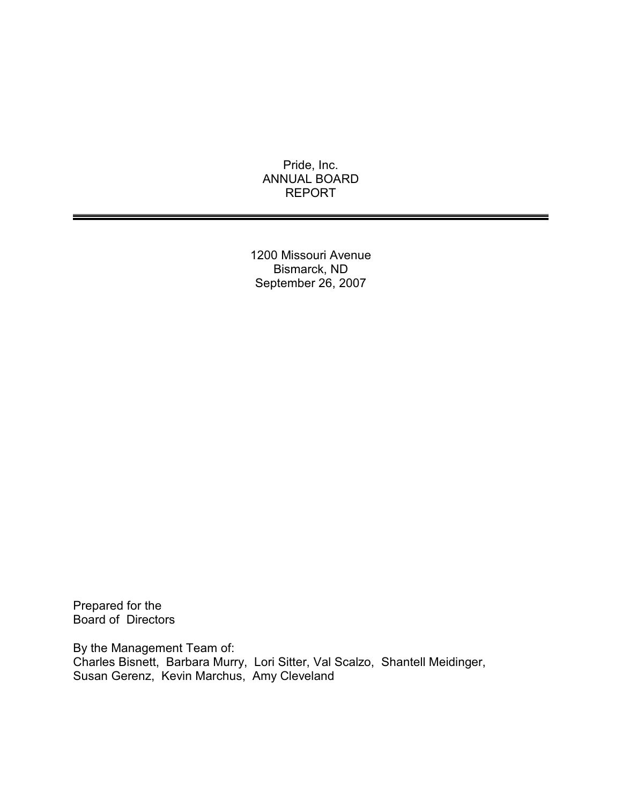Pride, Inc. ANNUAL BOARD REPORT

1200 Missouri Avenue Bismarck, ND September 26, 2007

Prepared for the Board of Directors

By the Management Team of: Charles Bisnett, Barbara Murry, Lori Sitter, Val Scalzo, Shantell Meidinger, Susan Gerenz, Kevin Marchus, Amy Cleveland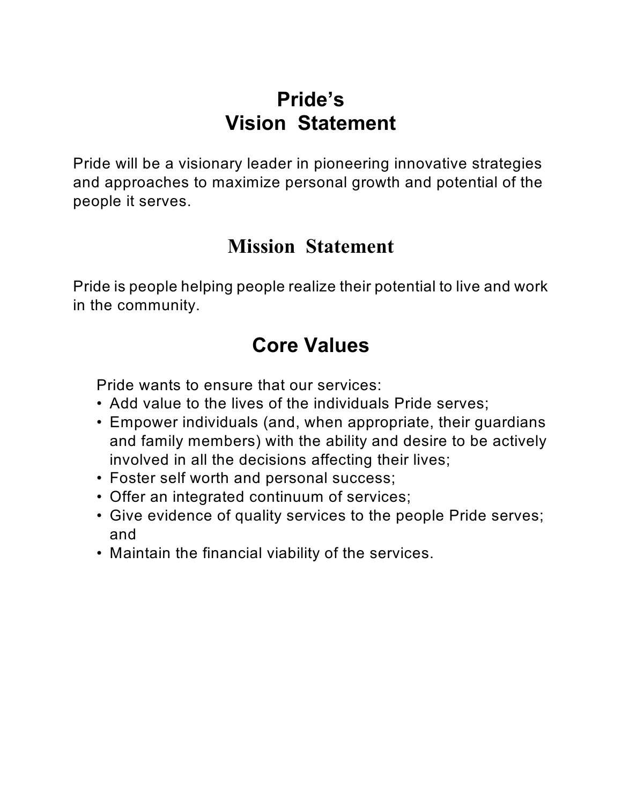# **Pride's Vision Statement**

Pride will be a visionary leader in pioneering innovative strategies and approaches to maximize personal growth and potential of the people it serves.

# **Mission Statement**

Pride is people helping people realize their potential to live and work in the community.

# **Core Values**

Pride wants to ensure that our services:

- Add value to the lives of the individuals Pride serves;
- Empower individuals (and, when appropriate, their guardians and family members) with the ability and desire to be actively involved in all the decisions affecting their lives;
- Foster self worth and personal success;
- Offer an integrated continuum of services;
- Give evidence of quality services to the people Pride serves; and
- Maintain the financial viability of the services.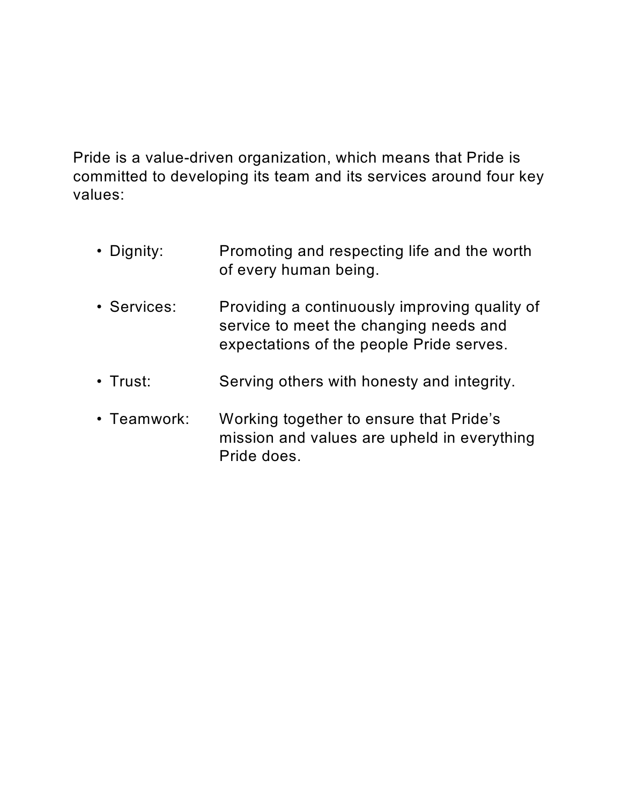Pride is a value-driven organization, which means that Pride is committed to developing its team and its services around four key values:

- Dignity: Promoting and respecting life and the worth of every human being.
- Services: Providing a continuously improving quality of service to meet the changing needs and expectations of the people Pride serves.
- Trust: Serving others with honesty and integrity.
- Teamwork: Working together to ensure that Pride's mission and values are upheld in everything Pride does.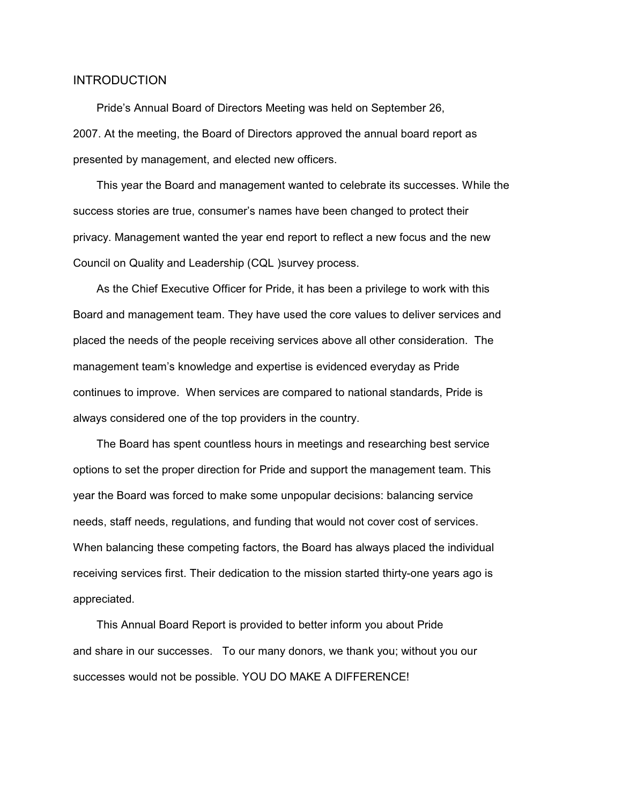## INTRODUCTION

Pride's Annual Board of Directors Meeting was held on September 26, 2007. At the meeting, the Board of Directors approved the annual board report as presented by management, and elected new officers.

This year the Board and management wanted to celebrate its successes. While the success stories are true, consumer's names have been changed to protect their privacy. Management wanted the year end report to reflect a new focus and the new Council on Quality and Leadership (CQL )survey process.

As the Chief Executive Officer for Pride, it has been a privilege to work with this Board and management team. They have used the core values to deliver services and placed the needs of the people receiving services above all other consideration. The management team's knowledge and expertise is evidenced everyday as Pride continues to improve. When services are compared to national standards, Pride is always considered one of the top providers in the country.

The Board has spent countless hours in meetings and researching best service options to set the proper direction for Pride and support the management team. This year the Board was forced to make some unpopular decisions: balancing service needs, staff needs, regulations, and funding that would not cover cost of services. When balancing these competing factors, the Board has always placed the individual receiving services first. Their dedication to the mission started thirty-one years ago is appreciated.

This Annual Board Report is provided to better inform you about Pride and share in our successes. To our many donors, we thank you; without you our successes would not be possible. YOU DO MAKE A DIFFERENCE!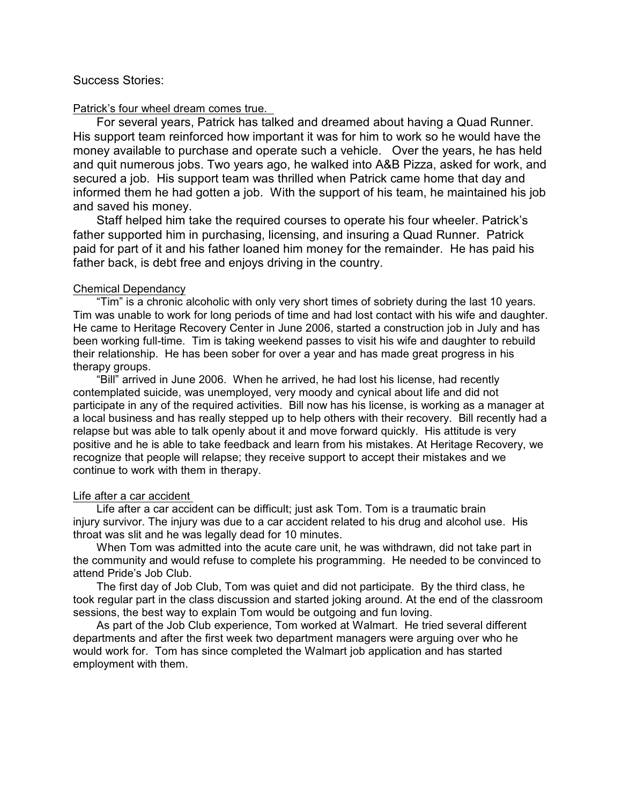## Success Stories:

#### Patrick's four wheel dream comes true.

For several years, Patrick has talked and dreamed about having a Quad Runner. His support team reinforced how important it was for him to work so he would have the money available to purchase and operate such a vehicle. Over the years, he has held and quit numerous jobs. Two years ago, he walked into A&B Pizza, asked for work, and secured a job. His support team was thrilled when Patrick came home that day and informed them he had gotten a job. With the support of his team, he maintained his job and saved his money.

Staff helped him take the required courses to operate his four wheeler. Patrick's father supported him in purchasing, licensing, and insuring a Quad Runner. Patrick paid for part of it and his father loaned him money for the remainder. He has paid his father back, is debt free and enjoys driving in the country.

#### Chemical Dependancy

"Tim" is a chronic alcoholic with only very short times of sobriety during the last 10 years. Tim was unable to work for long periods of time and had lost contact with his wife and daughter. He came to Heritage Recovery Center in June 2006, started a construction job in July and has been working full-time. Tim is taking weekend passes to visit his wife and daughter to rebuild their relationship. He has been sober for over a year and has made great progress in his therapy groups.

"Bill" arrived in June 2006. When he arrived, he had lost his license, had recently contemplated suicide, was unemployed, very moody and cynical about life and did not participate in any of the required activities. Bill now has his license, is working as a manager at a local business and has really stepped up to help others with their recovery. Bill recently had a relapse but was able to talk openly about it and move forward quickly. His attitude is very positive and he is able to take feedback and learn from his mistakes. At Heritage Recovery, we recognize that people will relapse; they receive support to accept their mistakes and we continue to work with them in therapy.

#### Life after a car accident

Life after a car accident can be difficult; just ask Tom. Tom is a traumatic brain injury survivor. The injury was due to a car accident related to his drug and alcohol use. His throat was slit and he was legally dead for 10 minutes.

When Tom was admitted into the acute care unit, he was withdrawn, did not take part in the community and would refuse to complete his programming. He needed to be convinced to attend Pride's Job Club.

The first day of Job Club, Tom was quiet and did not participate. By the third class, he took regular part in the class discussion and started joking around. At the end of the classroom sessions, the best way to explain Tom would be outgoing and fun loving.

As part of the Job Club experience, Tom worked at Walmart. He tried several different departments and after the first week two department managers were arguing over who he would work for. Tom has since completed the Walmart job application and has started employment with them.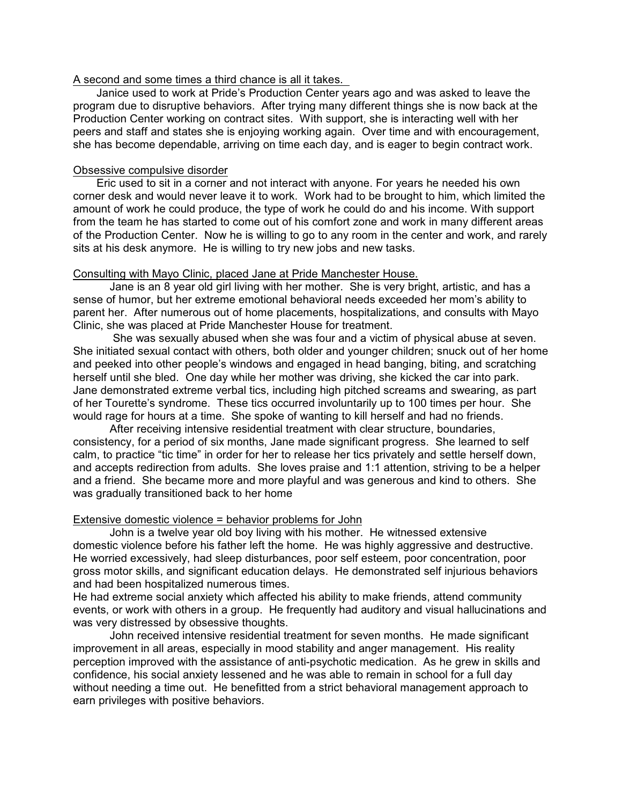## A second and some times a third chance is all it takes.

Janice used to work at Pride's Production Center years ago and was asked to leave the program due to disruptive behaviors. After trying many different things she is now back at the Production Center working on contract sites. With support, she is interacting well with her peers and staff and states she is enjoying working again. Over time and with encouragement, she has become dependable, arriving on time each day, and is eager to begin contract work.

## Obsessive compulsive disorder

Eric used to sit in a corner and not interact with anyone. For years he needed his own corner desk and would never leave it to work. Work had to be brought to him, which limited the amount of work he could produce, the type of work he could do and his income. With support from the team he has started to come out of his comfort zone and work in many different areas of the Production Center. Now he is willing to go to any room in the center and work, and rarely sits at his desk anymore. He is willing to try new jobs and new tasks.

## Consulting with Mayo Clinic, placed Jane at Pride Manchester House.

Jane is an 8 year old girl living with her mother. She is very bright, artistic, and has a sense of humor, but her extreme emotional behavioral needs exceeded her mom's ability to parent her. After numerous out of home placements, hospitalizations, and consults with Mayo Clinic, she was placed at Pride Manchester House for treatment.

 She was sexually abused when she was four and a victim of physical abuse at seven. She initiated sexual contact with others, both older and younger children; snuck out of her home and peeked into other people's windows and engaged in head banging, biting, and scratching herself until she bled. One day while her mother was driving, she kicked the car into park. Jane demonstrated extreme verbal tics, including high pitched screams and swearing, as part of her Tourette's syndrome. These tics occurred involuntarily up to 100 times per hour. She would rage for hours at a time. She spoke of wanting to kill herself and had no friends.

After receiving intensive residential treatment with clear structure, boundaries, consistency, for a period of six months, Jane made significant progress. She learned to self calm, to practice "tic time" in order for her to release her tics privately and settle herself down, and accepts redirection from adults. She loves praise and 1:1 attention, striving to be a helper and a friend. She became more and more playful and was generous and kind to others. She was gradually transitioned back to her home

## Extensive domestic violence = behavior problems for John

John is a twelve year old boy living with his mother. He witnessed extensive domestic violence before his father left the home. He was highly aggressive and destructive. He worried excessively, had sleep disturbances, poor self esteem, poor concentration, poor gross motor skills, and significant education delays. He demonstrated self injurious behaviors and had been hospitalized numerous times.

He had extreme social anxiety which affected his ability to make friends, attend community events, or work with others in a group. He frequently had auditory and visual hallucinations and was very distressed by obsessive thoughts.

John received intensive residential treatment for seven months. He made significant improvement in all areas, especially in mood stability and anger management. His reality perception improved with the assistance of anti-psychotic medication. As he grew in skills and confidence, his social anxiety lessened and he was able to remain in school for a full day without needing a time out. He benefitted from a strict behavioral management approach to earn privileges with positive behaviors.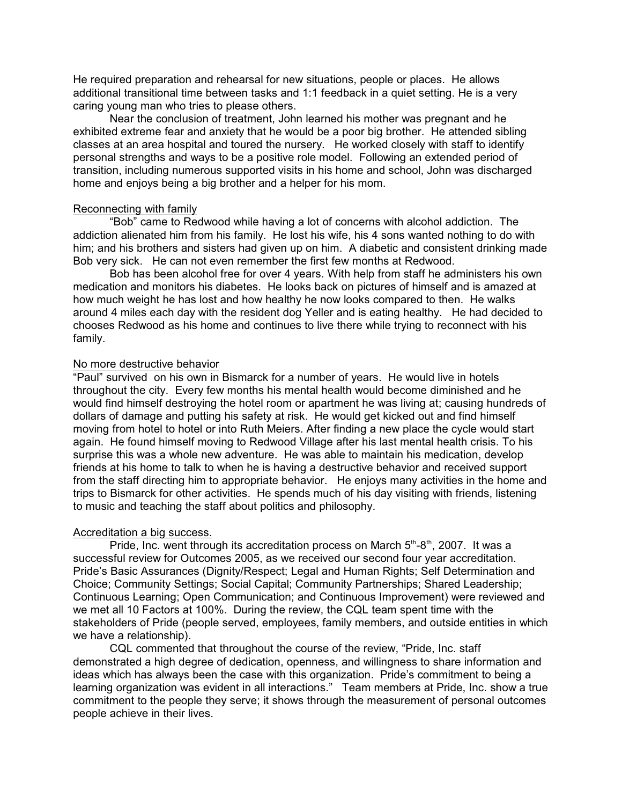He required preparation and rehearsal for new situations, people or places. He allows additional transitional time between tasks and 1:1 feedback in a quiet setting. He is a very caring young man who tries to please others.

Near the conclusion of treatment, John learned his mother was pregnant and he exhibited extreme fear and anxiety that he would be a poor big brother. He attended sibling classes at an area hospital and toured the nursery. He worked closely with staff to identify personal strengths and ways to be a positive role model. Following an extended period of transition, including numerous supported visits in his home and school, John was discharged home and enjoys being a big brother and a helper for his mom.

## Reconnecting with family

"Bob" came to Redwood while having a lot of concerns with alcohol addiction. The addiction alienated him from his family. He lost his wife, his 4 sons wanted nothing to do with him; and his brothers and sisters had given up on him. A diabetic and consistent drinking made Bob very sick. He can not even remember the first few months at Redwood.

Bob has been alcohol free for over 4 years. With help from staff he administers his own medication and monitors his diabetes. He looks back on pictures of himself and is amazed at how much weight he has lost and how healthy he now looks compared to then. He walks around 4 miles each day with the resident dog Yeller and is eating healthy. He had decided to chooses Redwood as his home and continues to live there while trying to reconnect with his family.

## No more destructive behavior

"Paul" survived on his own in Bismarck for a number of years. He would live in hotels throughout the city. Every few months his mental health would become diminished and he would find himself destroying the hotel room or apartment he was living at; causing hundreds of dollars of damage and putting his safety at risk. He would get kicked out and find himself moving from hotel to hotel or into Ruth Meiers. After finding a new place the cycle would start again. He found himself moving to Redwood Village after his last mental health crisis. To his surprise this was a whole new adventure. He was able to maintain his medication, develop friends at his home to talk to when he is having a destructive behavior and received support from the staff directing him to appropriate behavior. He enjoys many activities in the home and trips to Bismarck for other activities. He spends much of his day visiting with friends, listening to music and teaching the staff about politics and philosophy.

### Accreditation a big success.

Pride, Inc. went through its accreditation process on March 5<sup>th</sup>-8<sup>th</sup>, 2007. It was a successful review for Outcomes 2005, as we received our second four year accreditation. Pride's Basic Assurances (Dignity/Respect; Legal and Human Rights; Self Determination and Choice; Community Settings; Social Capital; Community Partnerships; Shared Leadership; Continuous Learning; Open Communication; and Continuous Improvement) were reviewed and we met all 10 Factors at 100%. During the review, the CQL team spent time with the stakeholders of Pride (people served, employees, family members, and outside entities in which we have a relationship).

CQL commented that throughout the course of the review, "Pride, Inc. staff demonstrated a high degree of dedication, openness, and willingness to share information and ideas which has always been the case with this organization. Pride's commitment to being a learning organization was evident in all interactions." Team members at Pride, Inc. show a true commitment to the people they serve; it shows through the measurement of personal outcomes people achieve in their lives.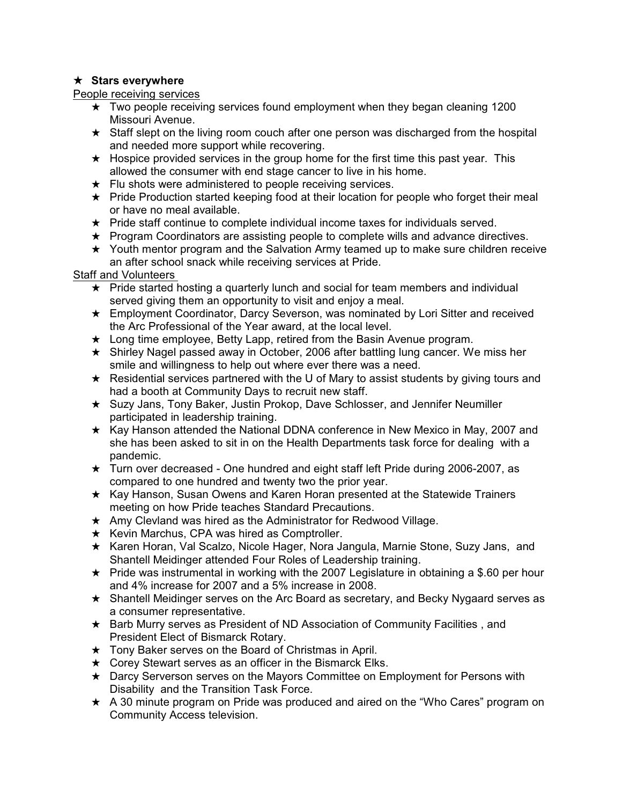# $\star$  Stars everywhere

People receiving services

- $\star$  Two people receiving services found employment when they began cleaning 1200 Missouri Avenue.
- $\star$  Staff slept on the living room couch after one person was discharged from the hospital and needed more support while recovering.
- $\star$  Hospice provided services in the group home for the first time this past year. This allowed the consumer with end stage cancer to live in his home.
- $\star$  Flu shots were administered to people receiving services.
- $\star$  Pride Production started keeping food at their location for people who forget their meal or have no meal available.
- $\star$  Pride staff continue to complete individual income taxes for individuals served.
- $\star$  Program Coordinators are assisting people to complete wills and advance directives.
- $\star$  Youth mentor program and the Salvation Army teamed up to make sure children receive an after school snack while receiving services at Pride.

Staff and Volunteers

- $\star$  Pride started hosting a quarterly lunch and social for team members and individual served giving them an opportunity to visit and enjoy a meal.
- $\star$  Employment Coordinator, Darcy Severson, was nominated by Lori Sitter and received the Arc Professional of the Year award, at the local level.
- $\star$  Long time employee, Betty Lapp, retired from the Basin Avenue program.
- $\star$  Shirley Nagel passed away in October, 2006 after battling lung cancer. We miss her smile and willingness to help out where ever there was a need.
- $\star$  Residential services partnered with the U of Mary to assist students by giving tours and had a booth at Community Days to recruit new staff.
- $\star$  Suzy Jans, Tony Baker, Justin Prokop, Dave Schlosser, and Jennifer Neumiller participated in leadership training.
- $\star$  Kay Hanson attended the National DDNA conference in New Mexico in May, 2007 and she has been asked to sit in on the Health Departments task force for dealing with a pandemic.
- $\star$  Turn over decreased One hundred and eight staff left Pride during 2006-2007, as compared to one hundred and twenty two the prior year.
- $\star$  Kay Hanson, Susan Owens and Karen Horan presented at the Statewide Trainers meeting on how Pride teaches Standard Precautions.
- $\star$  Amy Clevland was hired as the Administrator for Redwood Village.
- $\star$  Kevin Marchus, CPA was hired as Comptroller.
- ★ Karen Horan, Val Scalzo, Nicole Hager, Nora Jangula, Marnie Stone, Suzy Jans, and Shantell Meidinger attended Four Roles of Leadership training.
- $\star$  Pride was instrumental in working with the 2007 Legislature in obtaining a \$.60 per hour and 4% increase for 2007 and a 5% increase in 2008.
- $\star$  Shantell Meidinger serves on the Arc Board as secretary, and Becky Nygaard serves as a consumer representative.
- $\star$  Barb Murry serves as President of ND Association of Community Facilities, and President Elect of Bismarck Rotary.
- $\star$  Tony Baker serves on the Board of Christmas in April.
- $\star$  Corey Stewart serves as an officer in the Bismarck Elks.
- $\star$  Darcy Serverson serves on the Mayors Committee on Employment for Persons with Disability and the Transition Task Force.
- $\star$  A 30 minute program on Pride was produced and aired on the "Who Cares" program on Community Access television.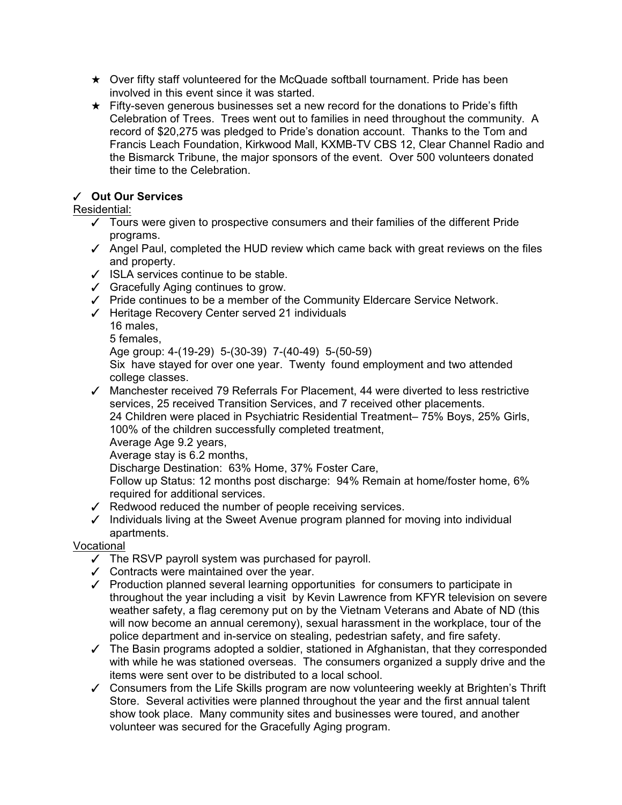- $\star$  Over fifty staff volunteered for the McQuade softball tournament. Pride has been involved in this event since it was started.
- $\star$  Fifty-seven generous businesses set a new record for the donations to Pride's fifth Celebration of Trees. Trees went out to families in need throughout the community. A record of \$20,275 was pledged to Pride's donation account. Thanks to the Tom and Francis Leach Foundation, Kirkwood Mall, KXMB-TV CBS 12, Clear Channel Radio and the Bismarck Tribune, the major sponsors of the event. Over 500 volunteers donated their time to the Celebration.

# T **Out Our Services**

# Residential:

- $\checkmark$  Tours were given to prospective consumers and their families of the different Pride programs.
- $\checkmark$  Angel Paul, completed the HUD review which came back with great reviews on the files and property.
- $\checkmark$  ISLA services continue to be stable.
- $\checkmark$  Gracefully Aging continues to grow.
- $\checkmark$  Pride continues to be a member of the Community Eldercare Service Network.
- $\checkmark$  Heritage Recovery Center served 21 individuals
	- 16 males,
		- 5 females,
		- Age group: 4-(19-29) 5-(30-39) 7-(40-49) 5-(50-59)

Six have stayed for over one year. Twenty found employment and two attended college classes.

 $\checkmark$  Manchester received 79 Referrals For Placement, 44 were diverted to less restrictive services, 25 received Transition Services, and 7 received other placements. 24 Children were placed in Psychiatric Residential Treatment– 75% Boys, 25% Girls, 100% of the children successfully completed treatment,

Average Age 9.2 years,

Average stay is 6.2 months,

Discharge Destination: 63% Home, 37% Foster Care,

Follow up Status: 12 months post discharge: 94% Remain at home/foster home, 6% required for additional services.

- $\sqrt{\phantom{a}}$  Redwood reduced the number of people receiving services.
- $\checkmark$  Individuals living at the Sweet Avenue program planned for moving into individual apartments.

Vocational

- $\checkmark$  The RSVP payroll system was purchased for payroll.
- $\checkmark$  Contracts were maintained over the year.
- $\checkmark$  Production planned several learning opportunities for consumers to participate in throughout the year including a visit by Kevin Lawrence from KFYR television on severe weather safety, a flag ceremony put on by the Vietnam Veterans and Abate of ND (this will now become an annual ceremony), sexual harassment in the workplace, tour of the police department and in-service on stealing, pedestrian safety, and fire safety.
- $\checkmark$  The Basin programs adopted a soldier, stationed in Afghanistan, that they corresponded with while he was stationed overseas. The consumers organized a supply drive and the items were sent over to be distributed to a local school.
- $\checkmark$  Consumers from the Life Skills program are now volunteering weekly at Brighten's Thrift Store. Several activities were planned throughout the year and the first annual talent show took place. Many community sites and businesses were toured, and another volunteer was secured for the Gracefully Aging program.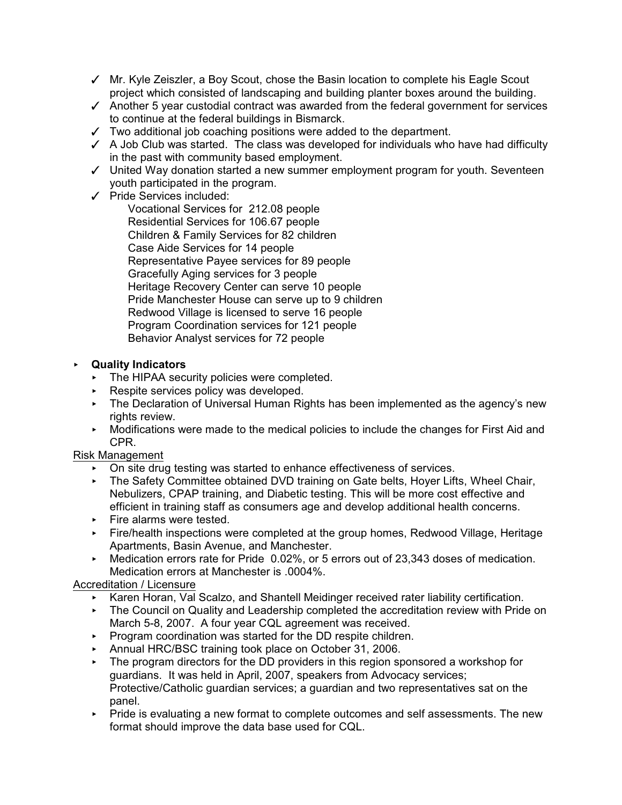- $\checkmark$  Mr. Kyle Zeiszler, a Boy Scout, chose the Basin location to complete his Eagle Scout project which consisted of landscaping and building planter boxes around the building.
- $\checkmark$  Another 5 year custodial contract was awarded from the federal government for services to continue at the federal buildings in Bismarck.
- $\checkmark$  Two additional job coaching positions were added to the department.
- $\angle$  A Job Club was started. The class was developed for individuals who have had difficulty in the past with community based employment.
- $\checkmark$  United Way donation started a new summer employment program for youth. Seventeen youth participated in the program.
- $\checkmark$  Pride Services included:

Vocational Services for 212.08 people Residential Services for 106.67 people Children & Family Services for 82 children Case Aide Services for 14 people Representative Payee services for 89 people Gracefully Aging services for 3 people Heritage Recovery Center can serve 10 people Pride Manchester House can serve up to 9 children Redwood Village is licensed to serve 16 people Program Coordination services for 121 people Behavior Analyst services for 72 people

# < **Quality Indicators**

- ▶ The HIPAA security policies were completed.
- $\triangleright$  Respite services policy was developed.
- ▶ The Declaration of Universal Human Rights has been implemented as the agency's new rights review.
- < Modifications were made to the medical policies to include the changes for First Aid and CPR.

## Risk Management

- $\triangleright$  On site drug testing was started to enhance effectiveness of services.
- ▶ The Safety Committee obtained DVD training on Gate belts, Hoyer Lifts, Wheel Chair, Nebulizers, CPAP training, and Diabetic testing. This will be more cost effective and efficient in training staff as consumers age and develop additional health concerns.
- Fire alarms were tested.
- **Fire/health inspections were completed at the group homes, Redwood Village, Heritage** Apartments, Basin Avenue, and Manchester.
- ▶ Medication errors rate for Pride 0.02%, or 5 errors out of 23,343 doses of medication. Medication errors at Manchester is .0004%.

## Accreditation / Licensure

- < Karen Horan, Val Scalzo, and Shantell Meidinger received rater liability certification.
- **FILT** The Council on Quality and Leadership completed the accreditation review with Pride on March 5-8, 2007. A four year CQL agreement was received.
- **Program coordination was started for the DD respite children.**
- ▶ Annual HRC/BSC training took place on October 31, 2006.
- $\triangleright$  The program directors for the DD providers in this region sponsored a workshop for guardians. It was held in April, 2007, speakers from Advocacy services; Protective/Catholic guardian services; a guardian and two representatives sat on the panel.
- **Pride is evaluating a new format to complete outcomes and self assessments. The new** format should improve the data base used for CQL.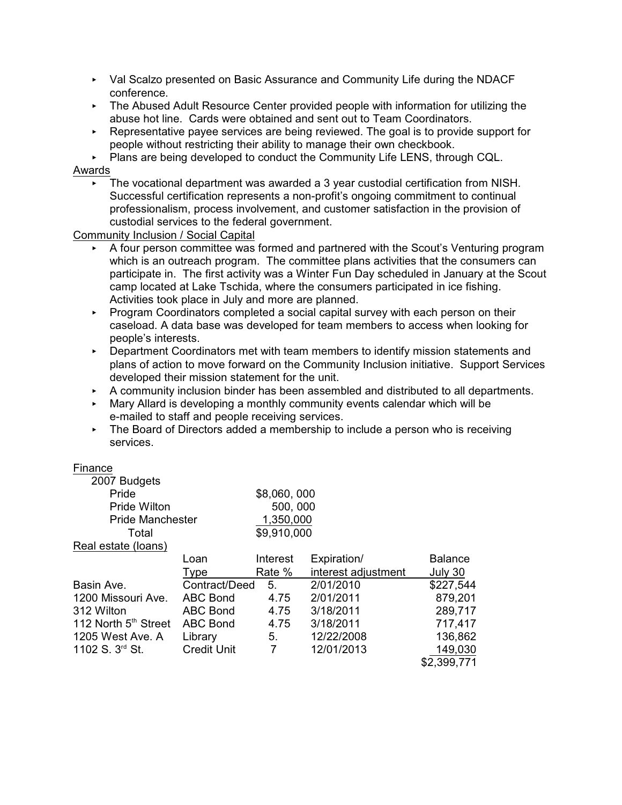- ▶ Val Scalzo presented on Basic Assurance and Community Life during the NDACF conference.
- **FILT** The Abused Adult Resource Center provided people with information for utilizing the abuse hot line. Cards were obtained and sent out to Team Coordinators.
- $\triangleright$  Representative payee services are being reviewed. The goal is to provide support for people without restricting their ability to manage their own checkbook.

Plans are being developed to conduct the Community Life LENS, through CQL.

## Awards

 $\blacktriangleright$  The vocational department was awarded a 3 year custodial certification from NISH. Successful certification represents a non-profit's ongoing commitment to continual professionalism, process involvement, and customer satisfaction in the provision of custodial services to the federal government.

Community Inclusion / Social Capital

- < A four person committee was formed and partnered with the Scout's Venturing program which is an outreach program. The committee plans activities that the consumers can participate in. The first activity was a Winter Fun Day scheduled in January at the Scout camp located at Lake Tschida, where the consumers participated in ice fishing. Activities took place in July and more are planned.
- **Program Coordinators completed a social capital survey with each person on their** caseload. A data base was developed for team members to access when looking for people's interests.
- < Department Coordinators met with team members to identify mission statements and plans of action to move forward on the Community Inclusion initiative.Support Services developed their mission statement for the unit.
- $\triangleright$  A community inclusion binder has been assembled and distributed to all departments.
- < Mary Allard is developing a monthly community events calendar which will be e-mailed to staff and people receiving services.
- $\triangleright$  The Board of Directors added a membership to include a person who is receiving services.

## Finance

| 2007 Budgets                     |                    |             |                     |                |
|----------------------------------|--------------------|-------------|---------------------|----------------|
| Pride                            |                    | \$8,060,000 |                     |                |
| Pride Wilton                     |                    | 500, 000    |                     |                |
| <b>Pride Manchester</b>          |                    | 1,350,000   |                     |                |
| Total                            |                    | \$9,910,000 |                     |                |
| Real estate (loans)              |                    |             |                     |                |
|                                  | Loan               | Interest    | Expiration/         | <b>Balance</b> |
|                                  | Type               | Rate %      | interest adjustment | July 30        |
| Basin Ave.                       | Contract/Deed      | 5.          | 2/01/2010           | \$227,544      |
| 1200 Missouri Ave.               | <b>ABC Bond</b>    | 4.75        | 2/01/2011           | 879,201        |
| 312 Wilton                       | <b>ABC Bond</b>    | 4.75        | 3/18/2011           | 289,717        |
| 112 North 5 <sup>th</sup> Street | <b>ABC Bond</b>    | 4.75        | 3/18/2011           | 717,417        |
| 1205 West Ave. A                 | Library            | 5.          | 12/22/2008          | 136,862        |
| 1102 S. 3 <sup>rd</sup> St.      | <b>Credit Unit</b> | 7           | 12/01/2013          | 149,030        |
|                                  |                    |             |                     | \$2,399,771    |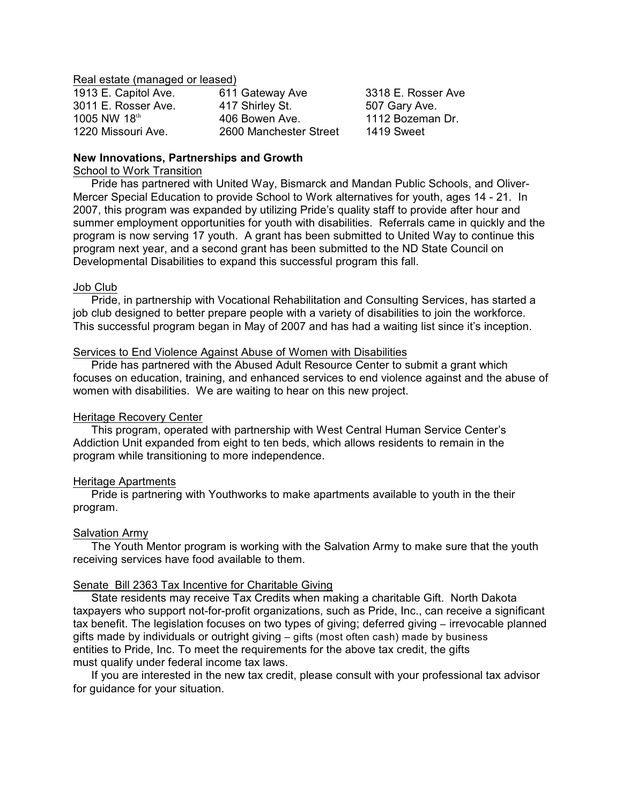Real estate (managed or leased)

| 1913 E. Capitol Ave. | 611 Gateway Ave        | 3318 E. Rosser Ave |
|----------------------|------------------------|--------------------|
| 3011 E. Rosser Ave.  | 417 Shirley St.        | 507 Gary Ave.      |
| 1005 NW 18th         | 406 Bowen Ave.         | 1112 Bozeman Dr.   |
| 1220 Missouri Ave.   | 2600 Manchester Street | 1419 Sweet         |

## **New Innovations, Partnerships and Growth**

## School to Work Transition

Pride has partnered with United Way, Bismarck and Mandan Public Schools, and Oliver-Mercer Special Education to provide School to Work alternatives for youth, ages 14 - 21. In 2007, this program was expanded by utilizing Pride's quality staff to provide after hour and summer employment opportunities for youth with disabilities. Referrals came in quickly and the program is now serving 17 youth. A grant has been submitted to United Way to continue this program next year, and a second grant has been submitted to the ND State Council on Developmental Disabilities to expand this successful program this fall.

## Job Club

Pride, in partnership with Vocational Rehabilitation and Consulting Services, has started a job club designed to better prepare people with a variety of disabilities to join the workforce. This successful program began in May of 2007 and has had a waiting list since it's inception.

## Services to End Violence Against Abuse of Women with Disabilities

Pride has partnered with the Abused Adult Resource Center to submit a grant which focuses on education, training, and enhanced services to end violence against and the abuse of women with disabilities. We are waiting to hear on this new project.

## Heritage Recovery Center

This program, operated with partnership with West Central Human Service Center's Addiction Unit expanded from eight to ten beds, which allows residents to remain in the program while transitioning to more independence.

### Heritage Apartments

Pride is partnering with Youthworks to make apartments available to youth in the their program.

### Salvation Army

The Youth Mentor program is working with the Salvation Army to make sure that the youth receiving services have food available to them.

## Senate Bill 2363 Tax Incentive for Charitable Giving

State residents may receive Tax Credits when making a charitable Gift. North Dakota taxpayers who support not-for-profit organizations, such as Pride, Inc., can receive a significant tax benefit. The legislation focuses on two types of giving; deferred giving – irrevocable planned gifts made by individuals or outright giving – gifts (most often cash) made by business entities to Pride, Inc. To meet the requirements for the above tax credit, the gifts must qualify under federal income tax laws.

If you are interested in the new tax credit, please consult with your professional tax advisor for guidance for your situation.